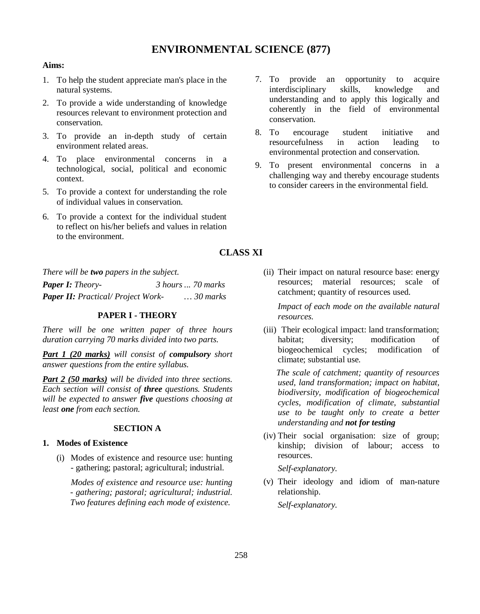# **ENVIRONMENTAL SCIENCE (877)**

#### **Aims:**

- 1. To help the student appreciate man's place in the natural systems.
- 2. To provide a wide understanding of knowledge resources relevant to environment protection and conservation.
- 3. To provide an in-depth study of certain environment related areas.
- 4. To place environmental concerns in a technological, social, political and economic context.
- 5. To provide a context for understanding the role of individual values in conservation.
- 6. To provide a context for the individual student to reflect on his/her beliefs and values in relation to the environment.
- 7. To provide an opportunity to acquire interdisciplinary skills, knowledge and understanding and to apply this logically and coherently in the field of environmental conservation.
- 8. To encourage student initiative and resourcefulness in action leading to environmental protection and conservation.
- 9. To present environmental concerns in a challenging way and thereby encourage students to consider careers in the environmental field.

# **CLASS XI**

*There will be two papers in the subject.*

| <b>Paper I:</b> Theory-                   | 3 hours  70 marks |                   |
|-------------------------------------------|-------------------|-------------------|
| <b>Paper II:</b> Practical/ Project Work- |                   | $\ldots 30$ marks |

#### **PAPER I - THEORY**

*There will be one written paper of three hours duration carrying 70 marks divided into two parts.*

*Part 1 (20 marks) will consist of compulsory short answer questions from the entire syllabus.*

*Part 2 (50 marks) will be divided into three sections. Each section will consist of three questions. Students will be expected to answer five questions choosing at least one from each section*.

### **SECTION A**

#### **1. Modes of Existence**

(i) Modes of existence and resource use: hunting - gathering; pastoral; agricultural; industrial.

*Modes of existence and resource use: hunting - gathering; pastoral; agricultural; industrial. Two features defining each mode of existence.*

(ii) Their impact on natural resource base: energy resources; material resources; scale of catchment; quantity of resources used.

*Impact of each mode on the available natural resources.*

(iii) Their ecological impact: land transformation; habitat: diversity: modification of biogeochemical cycles; modification of climate; substantial use.

 *The scale of catchment; quantity of resources used, land transformation; impact on habitat, biodiversity, modification of biogeochemical cycles, modification of climate, substantial use to be taught only to create a better understanding and not for testing*

(iv) Their social organisation: size of group; kinship; division of labour; access to resources.

*Self-explanatory.*

(v) Their ideology and idiom of man-nature relationship.

*Self-explanatory.*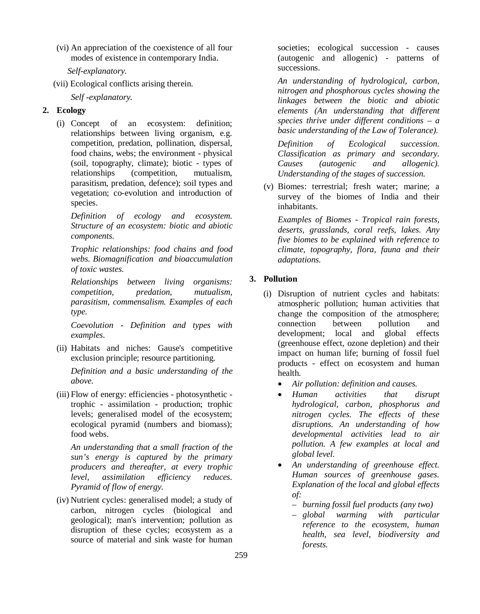(vi) An appreciation of the coexistence of all four modes of existence in contemporary India.

 *Self-explanatory.*

(vii) Ecological conflicts arising therein.

*Self -explanatory.*

# **2. Ecology**

(i) Concept of an ecosystem: definition; relationships between living organism, e.g. competition, predation, pollination, dispersal, food chains, webs; the environment - physical (soil, topography, climate); biotic - types of relationships (competition, mutualism, parasitism, predation, defence); soil types and vegetation; co-evolution and introduction of species.

*Definition of ecology and ecosystem. Structure of an ecosystem: biotic and abiotic components.* 

*Trophic relationships: food chains and food webs. Biomagnification and bioaccumulation of toxic wastes.*

*Relationships between living organisms: competition, predation, mutualism, parasitism, commensalism. Examples of each type.*

*Coevolution - Definition and types with examples.*

(ii) Habitats and niches: Gause's competitive exclusion principle; resource partitioning.

*Definition and a basic understanding of the above.*

(iii) Flow of energy: efficiencies - photosynthetic trophic - assimilation - production; trophic levels; generalised model of the ecosystem; ecological pyramid (numbers and biomass); food webs.

*An understanding that a small fraction of the sun's energy is captured by the primary producers and thereafter, at every trophic level, assimilation efficiency reduces. Pyramid of flow of energy.*

(iv) Nutrient cycles: generalised model; a study of carbon, nitrogen cycles (biological and geological); man's intervention; pollution as disruption of these cycles; ecosystem as a source of material and sink waste for human societies; ecological succession - causes (autogenic and allogenic) - patterns of successions.

*An understanding of hydrological, carbon, nitrogen and phosphorous cycles showing the linkages between the biotic and abiotic elements (An understanding that different species thrive under different conditions – a basic understanding of the Law of Tolerance).*

*Definition of Ecological succession. Classification as primary and secondary. Causes (autogenic and allogenic). Understanding of the stages of succession.*

(v) Biomes: terrestrial; fresh water; marine; a survey of the biomes of India and their inhabitants.

*Examples of Biomes - Tropical rain forests, deserts, grasslands, coral reefs, lakes. Any five biomes to be explained with reference to climate, topography, flora, fauna and their adaptations.*

# **3. Pollution**

- (i) Disruption of nutrient cycles and habitats: atmospheric pollution; human activities that change the composition of the atmosphere; connection between pollution and development; local and global effects (greenhouse effect, ozone depletion) and their impact on human life; burning of fossil fuel products - effect on ecosystem and human health.
	- *Air pollution: definition and causes.*
	- *Human activities that disrupt hydrological, carbon, phosphorus and nitrogen cycles. The effects of these disruptions. An understanding of how developmental activities lead to air pollution. A few examples at local and global level.*
	- *An understanding of greenhouse effect. Human sources of greenhouse gases. Explanation of the local and global effects of:* 
		- *burning fossil fuel products (any two)*
		- *global warming with particular reference to the ecosystem, human health, sea level, biodiversity and forests.*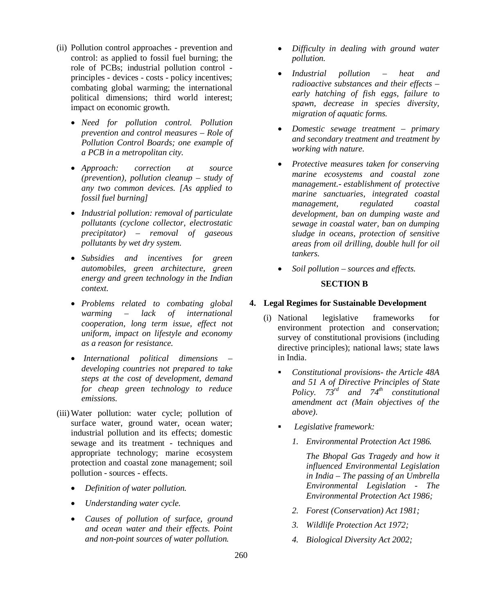- (ii) Pollution control approaches prevention and control: as applied to fossil fuel burning; the role of PCBs; industrial pollution control principles - devices - costs - policy incentives; combating global warming; the international political dimensions; third world interest; impact on economic growth.
	- *Need for pollution control. Pollution prevention and control measures – Role of Pollution Control Boards; one example of a PCB in a metropolitan city.*
	- *Approach: correction at source (prevention), pollution cleanup – study of any two common devices. [As applied to fossil fuel burning]*
	- *Industrial pollution: removal of particulate pollutants (cyclone collector, electrostatic precipitator) – removal of gaseous pollutants by wet dry system.*
	- *Subsidies and incentives for green automobiles, green architecture, green energy and green technology in the Indian context.*
	- *Problems related to combating global warming – lack of international cooperation, long term issue, effect not uniform, impact on lifestyle and economy as a reason for resistance.*
	- *International political dimensions – developing countries not prepared to take steps at the cost of development, demand for cheap green technology to reduce emissions.*
- (iii)Water pollution: water cycle; pollution of surface water, ground water, ocean water; industrial pollution and its effects; domestic sewage and its treatment - techniques and appropriate technology; marine ecosystem protection and coastal zone management; soil pollution - sources - effects.
	- *Definition of water pollution.*
	- *Understanding water cycle.*
	- *Causes of pollution of surface, ground and ocean water and their effects. Point and non-point sources of water pollution.*
- *Difficulty in dealing with ground water pollution.*
- *Industrial pollution heat and radioactive substances and their effects – early hatching of fish eggs, failure to spawn, decrease in species diversity, migration of aquatic forms.*
- *Domestic sewage treatment primary and secondary treatment and treatment by working with nature.*
- *Protective measures taken for conserving marine ecosystems and coastal zone management.- establishment of protective marine sanctuaries, integrated coastal management, regulated coastal development, ban on dumping waste and sewage in coastal water, ban on dumping sludge in oceans, protection of sensitive areas from oil drilling, double hull for oil tankers.*
- *Soil pollution sources and effects.*

#### **SECTION B**

# **4. Legal Regimes for Sustainable Development**

- (i) National legislative frameworks for environment protection and conservation; survey of constitutional provisions (including directive principles); national laws; state laws in India.
	- *Constitutional provisions- the Article 48A and 51 A of Directive Principles of State Policy. 73rd and 74th constitutional amendment act (Main objectives of the above).*
	- *Legislative framework:*
		- *1. Environmental Protection Act 1986.*

*The Bhopal Gas Tragedy and how it influenced Environmental Legislation in India – The passing of an Umbrella Environmental Legislation - The Environmental Protection Act 1986;*

- *2. Forest (Conservation) Act 1981;*
- *3. Wildlife Protection Act 1972;*
- *4. Biological Diversity Act 2002;*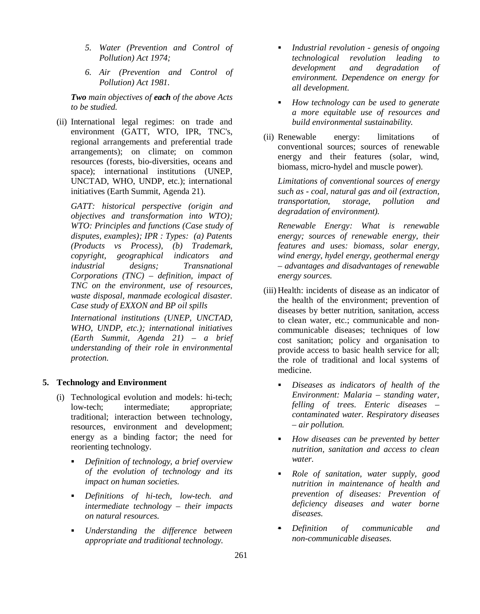- *5. Water (Prevention and Control of Pollution) Act 1974;*
- *6. Air (Prevention and Control of Pollution) Act 1981.*

*Two main objectives of each of the above Acts to be studied.*

(ii) International legal regimes: on trade and environment (GATT, WTO, IPR, TNC's, regional arrangements and preferential trade arrangements); on climate; on common resources (forests, bio-diversities, oceans and space); international institutions (UNEP, UNCTAD, WHO, UNDP, etc.); international initiatives (Earth Summit, Agenda 21).

*GATT: historical perspective (origin and objectives and transformation into WTO); WTO: Principles and functions (Case study of disputes, examples); IPR : Types: (a) Patents (Products vs Process), (b) Trademark, copyright, geographical indicators and industrial designs; Transnational Corporations (TNC) – definition, impact of TNC on the environment, use of resources, waste disposal, manmade ecological disaster. Case study of EXXON and BP oil spills*

*International institutions (UNEP, UNCTAD, WHO, UNDP, etc.); international initiatives (Earth Summit, Agenda 21) – a brief understanding of their role in environmental protection.*

#### **5. Technology and Environment**

- (i) Technological evolution and models: hi-tech; low-tech; intermediate; appropriate; traditional; interaction between technology, resources, environment and development; energy as a binding factor; the need for reorienting technology.
	- *Definition of technology, a brief overview of the evolution of technology and its impact on human societies.*
	- *Definitions of hi-tech, low-tech. and intermediate technology – their impacts on natural resources.*
	- *Understanding the difference between appropriate and traditional technology.*
- *Industrial revolution genesis of ongoing technological revolution leading to development and degradation of environment. Dependence on energy for all development.*
- *How technology can be used to generate a more equitable use of resources and build environmental sustainability.*
- (ii) Renewable energy: limitations of conventional sources; sources of renewable energy and their features (solar, wind, biomass, micro-hydel and muscle power).

*Limitations of conventional sources of energy such as - coal, natural gas and oil (extraction, transportation, storage, pollution and degradation of environment).* 

*Renewable Energy: What is renewable energy; sources of renewable energy, their features and uses: biomass, solar energy, wind energy, hydel energy, geothermal energy – advantages and disadvantages of renewable energy sources.*

- (iii) Health: incidents of disease as an indicator of the health of the environment; prevention of diseases by better nutrition, sanitation, access to clean water, etc.; communicable and noncommunicable diseases; techniques of low cost sanitation; policy and organisation to provide access to basic health service for all; the role of traditional and local systems of medicine.
	- *Diseases as indicators of health of the Environment: Malaria – standing water, felling of trees. Enteric diseases – contaminated water. Respiratory diseases – air pollution.*
	- *How diseases can be prevented by better nutrition, sanitation and access to clean water.*
	- *Role of sanitation, water supply, good nutrition in maintenance of health and prevention of diseases: Prevention of deficiency diseases and water borne diseases.*
	- *Definition of communicable and non-communicable diseases.*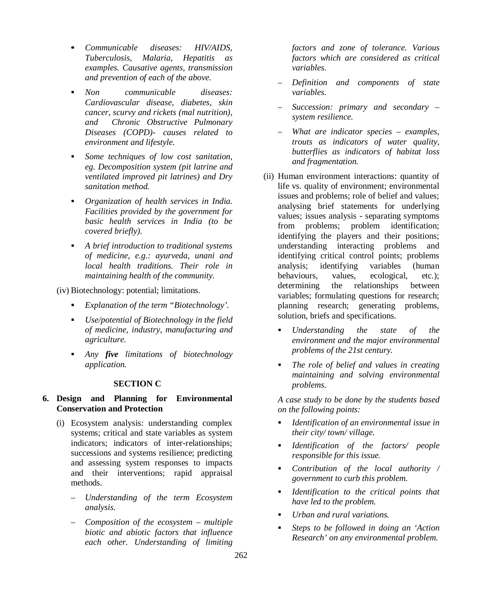- *Communicable diseases: HIV/AIDS, Tuberculosis, Malaria, Hepatitis as examples. Causative agents, transmission and prevention of each of the above.*
- *Non communicable diseases: Cardiovascular disease, diabetes, skin cancer, scurvy and rickets (mal nutrition), and Chronic Obstructive Pulmonary Diseases (COPD)- causes related to environment and lifestyle.*
- *Some techniques of low cost sanitation, eg. Decomposition system (pit latrine and ventilated improved pit latrines) and Dry sanitation method.*
- *Organization of health services in India. Facilities provided by the government for basic health services in India (to be covered briefly).*
- *A brief introduction to traditional systems of medicine, e.g.: ayurveda, unani and local health traditions. Their role in maintaining health of the community.*

(iv) Biotechnology: potential; limitations.

- *Explanation of the term "Biotechnology'.*
- *Use/potential of Biotechnology in the field of medicine, industry, manufacturing and agriculture.*
- *Any five limitations of biotechnology application.*

#### **SECTION C**

# **6. Design and Planning for Environmental Conservation and Protection**

- (i) Ecosystem analysis: understanding complex systems; critical and state variables as system indicators; indicators of inter-relationships; successions and systems resilience; predicting and assessing system responses to impacts and their interventions; rapid appraisal methods.
	- *Understanding of the term Ecosystem analysis.*
	- *Composition of the ecosystem multiple biotic and abiotic factors that influence each other. Understanding of limiting*

*factors and zone of tolerance. Various factors which are considered as critical variables.*

- *Definition and components of state variables.*
- *Succession: primary and secondary – system resilience.*
- *What are indicator species examples, trouts as indicators of water quality, butterflies as indicators of habitat loss and fragmentation.*
- (ii) Human environment interactions: quantity of life vs. quality of environment; environmental issues and problems; role of belief and values; analysing brief statements for underlying values; issues analysis - separating symptoms from problems; problem identification; identifying the players and their positions; understanding interacting problems and identifying critical control points; problems analysis; identifying variables (human behaviours, values, ecological, etc.); determining the relationships between variables; formulating questions for research; planning research; generating problems, solution, briefs and specifications.
	- *Understanding the state of the environment and the major environmental problems of the 21st century.*
	- *The role of belief and values in creating maintaining and solving environmental problems.*

*A case study to be done by the students based on the following points:*

- *Identification of an environmental issue in their city/ town/ village.*
- *Identification of the factors/ people responsible for this issue.*
- *Contribution of the local authority / government to curb this problem.*
- *Identification to the critical points that have led to the problem.*
- *Urban and rural variations.*
- *Steps to be followed in doing an 'Action Research' on any environmental problem.*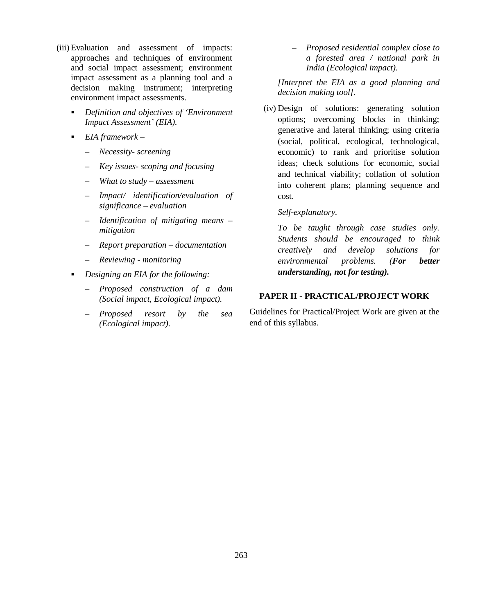- (iii) Evaluation and assessment of impacts: approaches and techniques of environment and social impact assessment; environment impact assessment as a planning tool and a decision making instrument; interpreting environment impact assessments.
	- *Definition and objectives of 'Environment Impact Assessment' (EIA).*
	- *EIA framework –*
		- *Necessity- screening*
		- *Key issues- scoping and focusing*
		- *What to study assessment*
		- *Impact/ identification/evaluation of significance – evaluation*
		- *Identification of mitigating means – mitigation*
		- *Report preparation documentation*
		- *Reviewing monitoring*
	- *Designing an EIA for the following:*
		- *Proposed construction of a dam (Social impact, Ecological impact).*
		- *Proposed resort by the sea (Ecological impact).*

– *Proposed residential complex close to a forested area / national park in India (Ecological impact).*

*[Interpret the EIA as a good planning and decision making tool].*

(iv) Design of solutions: generating solution options; overcoming blocks in thinking; generative and lateral thinking; using criteria (social, political, ecological, technological, economic) to rank and prioritise solution ideas; check solutions for economic, social and technical viability; collation of solution into coherent plans; planning sequence and cost.

#### *Self-explanatory.*

*To be taught through case studies only. Students should be encouraged to think creatively and develop solutions for environmental problems. (For better understanding, not for testing).*

# **PAPER II - PRACTICAL/PROJECT WORK**

Guidelines for Practical/Project Work are given at the end of this syllabus.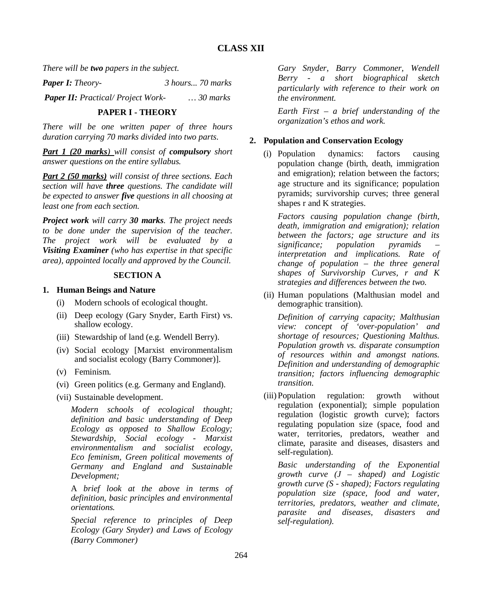*There will be two papers in the subject.*

*Paper I: Theory- 3 hours... 70 marks*

*Paper II: Practical/ Project Work- … 30 marks*

# **PAPER I - THEORY**

*There will be one written paper of three hours duration carrying 70 marks divided into two parts.*

*Part 1 (20 marks) will consist of compulsory short answer questions on the entire syllabus.*

*Part 2 (50 marks) will consist of three sections. Each section will have three questions. The candidate will be expected to answer five questions in all choosing at least one from each section.*

*Project work will carry 30 marks. The project needs to be done under the supervision of the teacher. The project work will be evaluated by a Visiting Examiner (who has expertise in that specific area), appointed locally and approved by the Council.*

### **SECTION A**

### **1. Human Beings and Nature**

- (i) Modern schools of ecological thought.
- (ii) Deep ecology (Gary Snyder, Earth First) vs. shallow ecology.
- (iii) Stewardship of land (e.g. Wendell Berry).
- (iv) Social ecology [Marxist environmentalism and socialist ecology (Barry Commoner)].
- (v) Feminism.
- (vi) Green politics (e.g. Germany and England).
- (vii) Sustainable development.

*Modern schools of ecological thought; definition and basic understanding of Deep Ecology as opposed to Shallow Ecology; Stewardship, Social ecology - Marxist environmentalism and socialist ecology, Eco feminism, Green political movements of Germany and England and Sustainable Development;*

A *brief look at the above in terms of definition, basic principles and environmental orientations.*

*Special reference to principles of Deep Ecology (Gary Snyder) and Laws of Ecology (Barry Commoner)*

*Gary Snyder, Barry Commoner, Wendell Berry - a short biographical sketch particularly with reference to their work on the environment.*

*Earth First – a brief understanding of the organization's ethos and work.*

# **2. Population and Conservation Ecology**

(i) Population dynamics: factors causing population change (birth, death, immigration and emigration); relation between the factors; age structure and its significance; population pyramids; survivorship curves; three general shapes r and K strategies.

*Factors causing population change (birth, death, immigration and emigration); relation between the factors; age structure and its significance; population pyramids – interpretation and implications. Rate of change of population – the three general shapes of Survivorship Curves, r and K strategies and differences between the two.* 

(ii) Human populations (Malthusian model and demographic transition).

*Definition of carrying capacity; Malthusian view: concept of 'over-population' and shortage of resources; Questioning Malthus. Population growth vs. disparate consumption of resources within and amongst nations. Definition and understanding of demographic transition; factors influencing demographic transition.*

(iii) Population regulation: growth without regulation (exponential); simple population regulation (logistic growth curve); factors regulating population size (space, food and water, territories, predators, weather and climate, parasite and diseases, disasters and self-regulation).

*Basic understanding of the Exponential growth curve (J – shaped) and Logistic growth curve (S - shaped); Factors regulating population size (space, food and water, territories, predators, weather and climate, parasite and diseases, disasters and self-regulation).*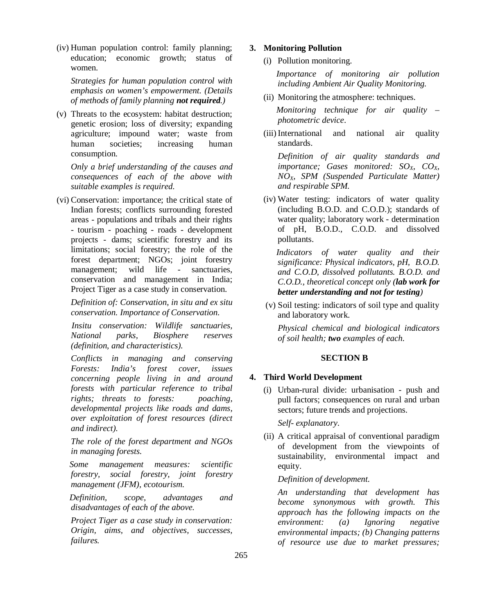(iv) Human population control: family planning; education; economic growth; status of women.

*Strategies for human population control with emphasis on women's empowerment. (Details of methods of family planning not required.)* 

(v) Threats to the ecosystem: habitat destruction; genetic erosion; loss of diversity; expanding agriculture; impound water; waste from human societies; increasing human consumption.

*Only a brief understanding of the causes and consequences of each of the above with suitable examples is required.*

(vi) Conservation: importance; the critical state of Indian forests; conflicts surrounding forested areas - populations and tribals and their rights - tourism - poaching - roads - development projects - dams; scientific forestry and its limitations; social forestry; the role of the forest department; NGOs; joint forestry management; wild life - sanctuaries, conservation and management in India; Project Tiger as a case study in conservation.

*Definition of: Conservation, in situ and ex situ conservation. Importance of Conservation.*

 *Insitu conservation: Wildlife sanctuaries, National parks, Biosphere reserves (definition, and characteristics).*

*Conflicts in managing and conserving Forests: India's forest cover, issues concerning people living in and around forests with particular reference to tribal rights; threats to forests: poaching, developmental projects like roads and dams, over exploitation of forest resources (direct and indirect).*

*The role of the forest department and NGOs in managing forests.*

 *Some management measures: scientific forestry, social forestry, joint forestry management (JFM), ecotourism.* 

 *Definition, scope, advantages and disadvantages of each of the above.*

*Project Tiger as a case study in conservation: Origin, aims, and objectives, successes, failures.* 

# **3. Monitoring Pollution**

(i) Pollution monitoring.

 *Importance of monitoring air pollution including Ambient Air Quality Monitoring.*

(ii) Monitoring the atmosphere: techniques.

 *Monitoring technique for air quality – photometric device*.

(iii) International and national air quality standards.

*Definition of air quality standards and importance; Gases monitored: SOX, COX, NOX, SPM (Suspended Particulate Matter) and respirable SPM.* 

(iv) Water testing: indicators of water quality (including B.O.D. and C.O.D.); standards of water quality; laboratory work - determination of pH, B.O.D., C.O.D. and dissolved pollutants.

 *Indicators of water quality and their significance: Physical indicators, pH, B.O.D. and C.O.D, dissolved pollutants. B.O.D. and C.O.D., theoretical concept only (lab work for better understanding and not for testing)* 

 (v) Soil testing: indicators of soil type and quality and laboratory work.

*Physical chemical and biological indicators of soil health; two examples of each.*

# **SECTION B**

# **4. Third World Development**

(i) Urban-rural divide: urbanisation - push and pull factors; consequences on rural and urban sectors; future trends and projections.

*Self- explanatory*.

(ii) A critical appraisal of conventional paradigm of development from the viewpoints of sustainability, environmental impact and equity.

# *Definition of development.*

*An understanding that development has become synonymous with growth. This approach has the following impacts on the environment: (a) Ignoring negative environmental impacts; (b) Changing patterns of resource use due to market pressures;*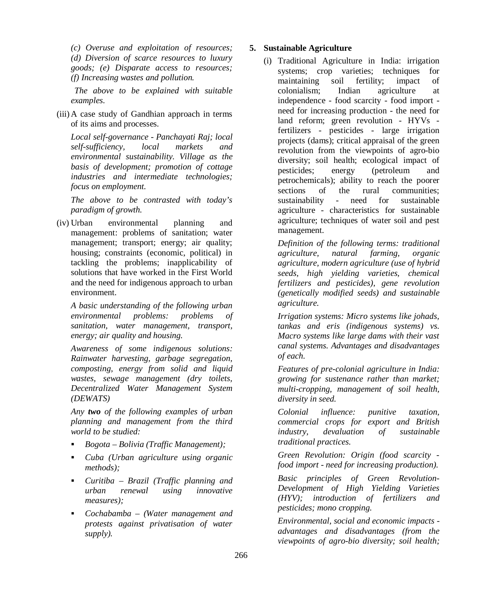*(c) Overuse and exploitation of resources; (d) Diversion of scarce resources to luxury goods; (e) Disparate access to resources; (f) Increasing wastes and pollution.* 

*The above to be explained with suitable examples.*

(iii) A case study of Gandhian approach in terms of its aims and processes.

*Local self-governance - Panchayati Raj; local self-sufficiency, local markets and environmental sustainability. Village as the basis of development; promotion of cottage industries and intermediate technologies; focus on employment.*

*The above to be contrasted with today's paradigm of growth.*

(iv) Urban environmental planning and management: problems of sanitation; water management; transport; energy; air quality; housing; constraints (economic, political) in tackling the problems; inapplicability of solutions that have worked in the First World and the need for indigenous approach to urban environment.

*A basic understanding of the following urban environmental problems: problems of sanitation, water management, transport, energy; air quality and housing.*

*Awareness of some indigenous solutions: Rainwater harvesting, garbage segregation, composting, energy from solid and liquid wastes, sewage management (dry toilets, Decentralized Water Management System (DEWATS)*

*Any two of the following examples of urban planning and management from the third world to be studied:*

- *Bogota Bolivia (Traffic Management);*
- *Cuba (Urban agriculture using organic methods);*
- *Curitiba Brazil (Traffic planning and urban renewal using innovative measures);*
- *Cochabamba (Water management and protests against privatisation of water supply).*

# **5. Sustainable Agriculture**

(i) Traditional Agriculture in India: irrigation systems; crop varieties; techniques for maintaining soil fertility; impact of colonialism; Indian agriculture at independence - food scarcity - food import need for increasing production - the need for land reform; green revolution - HYVs fertilizers - pesticides - large irrigation projects (dams); critical appraisal of the green revolution from the viewpoints of agro-bio diversity; soil health; ecological impact of pesticides; energy (petroleum and petrochemicals); ability to reach the poorer sections of the rural communities: sustainability - need for sustainable agriculture - characteristics for sustainable agriculture; techniques of water soil and pest management.

*Definition of the following terms: traditional agriculture, natural farming, organic agriculture, modern agriculture (use of hybrid seeds, high yielding varieties, chemical fertilizers and pesticides), gene revolution (genetically modified seeds) and sustainable agriculture.* 

*Irrigation systems: Micro systems like johads, tankas and eris (indigenous systems) vs. Macro systems like large dams with their vast canal systems. Advantages and disadvantages of each.*

*Features of pre-colonial agriculture in India: growing for sustenance rather than market; multi-cropping, management of soil health, diversity in seed.*

*Colonial influence: punitive taxation, commercial crops for export and British industry, devaluation of sustainable traditional practices.*

*Green Revolution: Origin (food scarcity food import - need for increasing production).*

*Basic principles of Green Revolution-Development of High Yielding Varieties (HYV); introduction of fertilizers and pesticides; mono cropping.*

*Environmental, social and economic impacts advantages and disadvantages (from the viewpoints of agro-bio diversity; soil health;*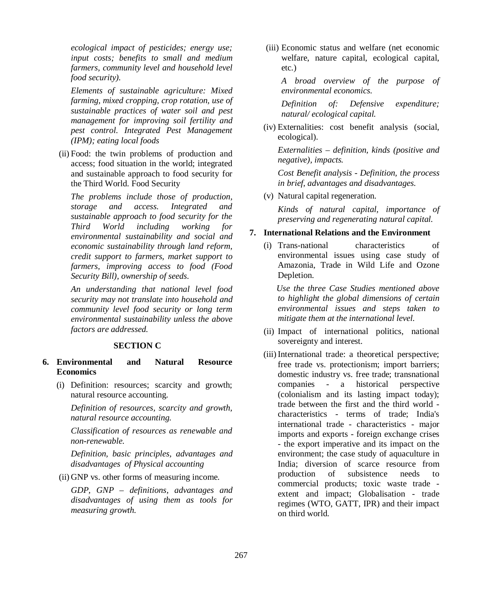*ecological impact of pesticides; energy use; input costs; benefits to small and medium farmers, community level and household level food security).*

*Elements of sustainable agriculture: Mixed farming, mixed cropping, crop rotation, use of sustainable practices of water soil and pest management for improving soil fertility and pest control. Integrated Pest Management (IPM); eating local foods*

 (ii) Food: the twin problems of production and access; food situation in the world; integrated and sustainable approach to food security for the Third World. Food Security

*The problems include those of production, storage and access. Integrated and sustainable approach to food security for the Third World including working for environmental sustainability and social and economic sustainability through land reform, credit support to farmers, market support to farmers, improving access to food (Food Security Bill), ownership of seeds.*

*An understanding that national level food security may not translate into household and community level food security or long term environmental sustainability unless the above factors are addressed.*

# **SECTION C**

- **6. Environmental and Natural Resource Economics**
	- (i) Definition: resources; scarcity and growth; natural resource accounting.

*Definition of resources, scarcity and growth, natural resource accounting.*

*Classification of resources as renewable and non-renewable.*

*Definition, basic principles, advantages and disadvantages of Physical accounting*

(ii) GNP vs. other forms of measuring income.

*GDP, GNP – definitions, advantages and disadvantages of using them as tools for measuring growth.* 

(iii) Economic status and welfare (net economic welfare, nature capital, ecological capital, etc.)

*A broad overview of the purpose of environmental economics.*

*Definition of: Defensive expenditure; natural/ ecological capital.*

(iv) Externalities: cost benefit analysis (social, ecological).

*Externalities – definition, kinds (positive and negative), impacts.*

*Cost Benefit analysis - Definition, the process in brief, advantages and disadvantages.*

(v) Natural capital regeneration.

*Kinds of natural capital, importance of preserving and regenerating natural capital.*

#### **7. International Relations and the Environment**

(i) Trans-national characteristics of environmental issues using case study of Amazonia, Trade in Wild Life and Ozone Depletion.

 *Use the three Case Studies mentioned above to highlight the global dimensions of certain environmental issues and steps taken to mitigate them at the international level.*

- (ii) Impact of international politics, national sovereignty and interest.
- (iii) International trade: a theoretical perspective; free trade vs. protectionism; import barriers; domestic industry vs. free trade; transnational companies - a historical perspective (colonialism and its lasting impact today); trade between the first and the third world characteristics - terms of trade; India's international trade - characteristics - major imports and exports - foreign exchange crises - the export imperative and its impact on the environment; the case study of aquaculture in India; diversion of scarce resource from production of subsistence needs to commercial products; toxic waste trade extent and impact; Globalisation - trade regimes (WTO, GATT, IPR) and their impact on third world.